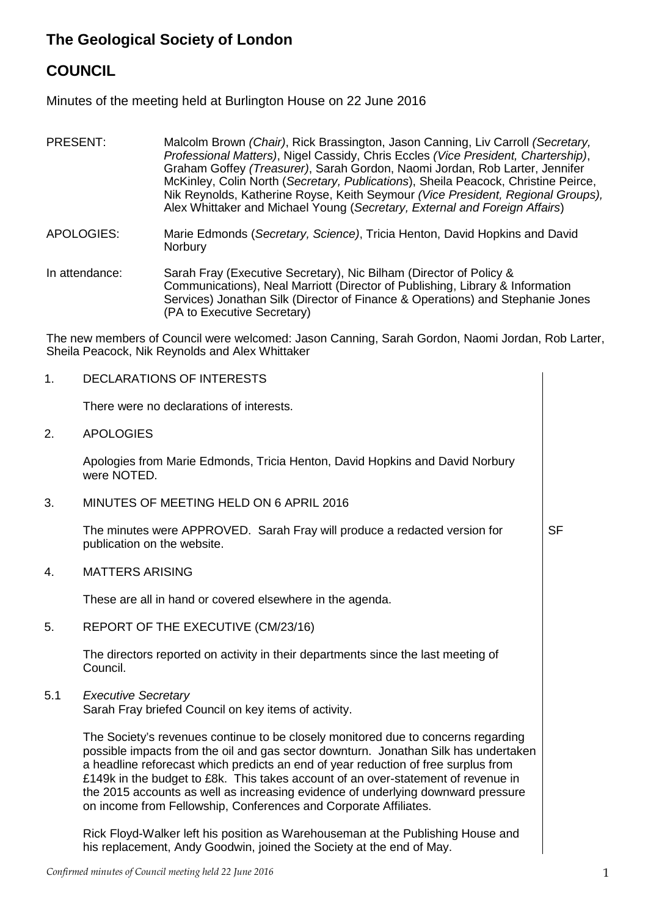# **The Geological Society of London**

## **COUNCIL**

Minutes of the meeting held at Burlington House on 22 June 2016

- PRESENT: Malcolm Brown *(Chair)*, Rick Brassington, Jason Canning, Liv Carroll *(Secretary, Professional Matters)*, Nigel Cassidy, Chris Eccles *(Vice President, Chartership)*, Graham Goffey *(Treasurer)*, Sarah Gordon, Naomi Jordan, Rob Larter, Jennifer McKinley, Colin North (*Secretary, Publications*), Sheila Peacock, Christine Peirce, Nik Reynolds, Katherine Royse, Keith Seymour *(Vice President, Regional Groups),*  Alex Whittaker and Michael Young (*Secretary, External and Foreign Affairs*)
- APOLOGIES: Marie Edmonds (*Secretary, Science)*, Tricia Henton, David Hopkins and David **Norbury**

In attendance: Sarah Fray (Executive Secretary), Nic Bilham (Director of Policy & Communications), Neal Marriott (Director of Publishing, Library & Information Services) Jonathan Silk (Director of Finance & Operations) and Stephanie Jones (PA to Executive Secretary)

The new members of Council were welcomed: Jason Canning, Sarah Gordon, Naomi Jordan, Rob Larter, Sheila Peacock, Nik Reynolds and Alex Whittaker

1. DECLARATIONS OF INTERESTS There were no declarations of interests. 2. APOLOGIES Apologies from Marie Edmonds, Tricia Henton, David Hopkins and David Norbury were NOTED. 3. MINUTES OF MEETING HELD ON 6 APRIL 2016 The minutes were APPROVED. Sarah Fray will produce a redacted version for publication on the website. SF 4. MATTERS ARISING These are all in hand or covered elsewhere in the agenda. 5. REPORT OF THE EXECUTIVE (CM/23/16) The directors reported on activity in their departments since the last meeting of Council. 5.1 *Executive Secretary* Sarah Fray briefed Council on key items of activity. The Society's revenues continue to be closely monitored due to concerns regarding possible impacts from the oil and gas sector downturn. Jonathan Silk has undertaken a headline reforecast which predicts an end of year reduction of free surplus from £149k in the budget to £8k. This takes account of an over-statement of revenue in the 2015 accounts as well as increasing evidence of underlying downward pressure on income from Fellowship, Conferences and Corporate Affiliates. Rick Floyd-Walker left his position as Warehouseman at the Publishing House and his replacement, Andy Goodwin, joined the Society at the end of May.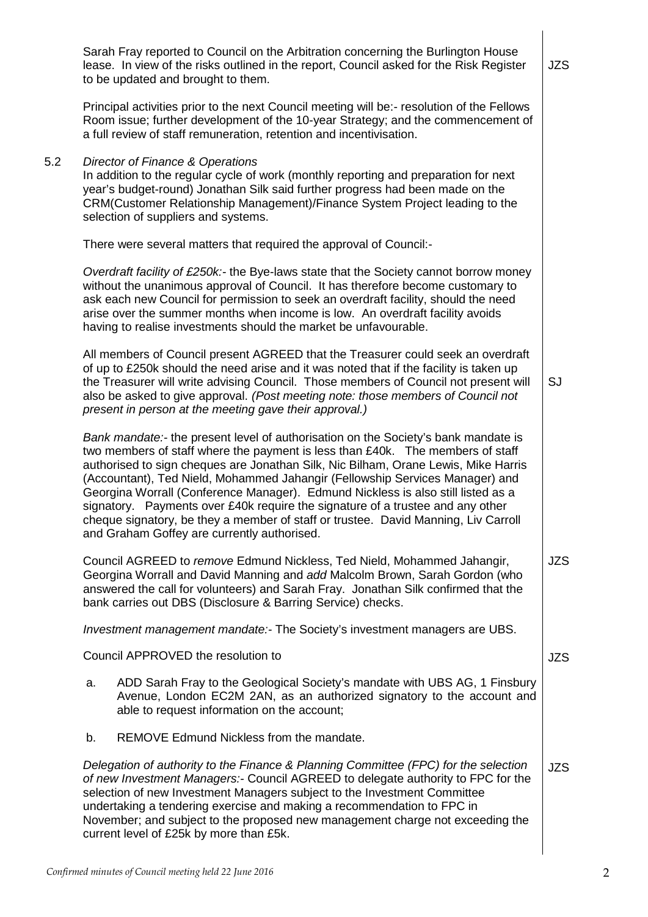|     | Sarah Fray reported to Council on the Arbitration concerning the Burlington House<br>lease. In view of the risks outlined in the report, Council asked for the Risk Register<br>to be updated and brought to them.                                                                                                                                                                                                                                                                                                                                                                                                                                    | <b>JZS</b> |
|-----|-------------------------------------------------------------------------------------------------------------------------------------------------------------------------------------------------------------------------------------------------------------------------------------------------------------------------------------------------------------------------------------------------------------------------------------------------------------------------------------------------------------------------------------------------------------------------------------------------------------------------------------------------------|------------|
|     | Principal activities prior to the next Council meeting will be:- resolution of the Fellows<br>Room issue; further development of the 10-year Strategy; and the commencement of<br>a full review of staff remuneration, retention and incentivisation.                                                                                                                                                                                                                                                                                                                                                                                                 |            |
| 5.2 | Director of Finance & Operations<br>In addition to the regular cycle of work (monthly reporting and preparation for next<br>year's budget-round) Jonathan Silk said further progress had been made on the<br>CRM(Customer Relationship Management)/Finance System Project leading to the<br>selection of suppliers and systems.                                                                                                                                                                                                                                                                                                                       |            |
|     | There were several matters that required the approval of Council:-                                                                                                                                                                                                                                                                                                                                                                                                                                                                                                                                                                                    |            |
|     | Overdraft facility of £250k:- the Bye-laws state that the Society cannot borrow money<br>without the unanimous approval of Council. It has therefore become customary to<br>ask each new Council for permission to seek an overdraft facility, should the need<br>arise over the summer months when income is low. An overdraft facility avoids<br>having to realise investments should the market be unfavourable.                                                                                                                                                                                                                                   |            |
|     | All members of Council present AGREED that the Treasurer could seek an overdraft<br>of up to £250k should the need arise and it was noted that if the facility is taken up<br>the Treasurer will write advising Council. Those members of Council not present will<br>also be asked to give approval. (Post meeting note: those members of Council not<br>present in person at the meeting gave their approval.)                                                                                                                                                                                                                                      | SJ         |
|     | Bank mandate:- the present level of authorisation on the Society's bank mandate is<br>two members of staff where the payment is less than £40k. The members of staff<br>authorised to sign cheques are Jonathan Silk, Nic Bilham, Orane Lewis, Mike Harris<br>(Accountant), Ted Nield, Mohammed Jahangir (Fellowship Services Manager) and<br>Georgina Worrall (Conference Manager). Edmund Nickless is also still listed as a<br>signatory. Payments over £40k require the signature of a trustee and any other<br>cheque signatory, be they a member of staff or trustee. David Manning, Liv Carroll<br>and Graham Goffey are currently authorised. |            |
|     | Council AGREED to remove Edmund Nickless, Ted Nield, Mohammed Jahangir,<br>Georgina Worrall and David Manning and add Malcolm Brown, Sarah Gordon (who<br>answered the call for volunteers) and Sarah Fray. Jonathan Silk confirmed that the<br>bank carries out DBS (Disclosure & Barring Service) checks.                                                                                                                                                                                                                                                                                                                                           | <b>JZS</b> |
|     | Investment management mandate:- The Society's investment managers are UBS.                                                                                                                                                                                                                                                                                                                                                                                                                                                                                                                                                                            |            |
|     | Council APPROVED the resolution to                                                                                                                                                                                                                                                                                                                                                                                                                                                                                                                                                                                                                    | <b>JZS</b> |
|     | ADD Sarah Fray to the Geological Society's mandate with UBS AG, 1 Finsbury<br>a.<br>Avenue, London EC2M 2AN, as an authorized signatory to the account and<br>able to request information on the account;                                                                                                                                                                                                                                                                                                                                                                                                                                             |            |
|     | REMOVE Edmund Nickless from the mandate.<br>b.                                                                                                                                                                                                                                                                                                                                                                                                                                                                                                                                                                                                        |            |
|     | Delegation of authority to the Finance & Planning Committee (FPC) for the selection<br>of new Investment Managers:- Council AGREED to delegate authority to FPC for the<br>selection of new Investment Managers subject to the Investment Committee<br>undertaking a tendering exercise and making a recommendation to FPC in<br>November; and subject to the proposed new management charge not exceeding the<br>current level of £25k by more than £5k.                                                                                                                                                                                             | <b>JZS</b> |
|     |                                                                                                                                                                                                                                                                                                                                                                                                                                                                                                                                                                                                                                                       |            |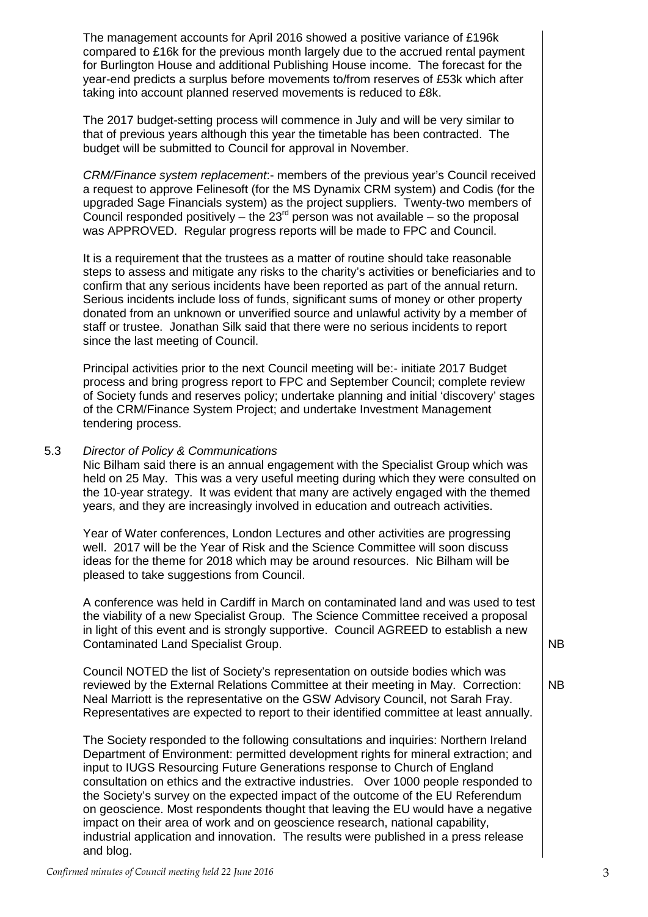The management accounts for April 2016 showed a positive variance of £196k compared to £16k for the previous month largely due to the accrued rental payment for Burlington House and additional Publishing House income. The forecast for the year-end predicts a surplus before movements to/from reserves of £53k which after taking into account planned reserved movements is reduced to £8k.

The 2017 budget-setting process will commence in July and will be very similar to that of previous years although this year the timetable has been contracted. The budget will be submitted to Council for approval in November.

*CRM/Finance system replacement*:- members of the previous year's Council received a request to approve Felinesoft (for the MS Dynamix CRM system) and Codis (for the upgraded Sage Financials system) as the project suppliers. Twenty-two members of Council responded positively – the  $23<sup>rd</sup>$  person was not available – so the proposal was APPROVED. Regular progress reports will be made to FPC and Council.

It is a requirement that the trustees as a matter of routine should take reasonable steps to assess and mitigate any risks to the charity's activities or beneficiaries and to confirm that any serious incidents have been reported as part of the annual return. Serious incidents include loss of funds, significant sums of money or other property donated from an unknown or unverified source and unlawful activity by a member of staff or trustee. Jonathan Silk said that there were no serious incidents to report since the last meeting of Council.

Principal activities prior to the next Council meeting will be:- initiate 2017 Budget process and bring progress report to FPC and September Council; complete review of Society funds and reserves policy; undertake planning and initial 'discovery' stages of the CRM/Finance System Project; and undertake Investment Management tendering process.

#### 5.3 *Director of Policy & Communications*

Nic Bilham said there is an annual engagement with the Specialist Group which was held on 25 May. This was a very useful meeting during which they were consulted on the 10-year strategy. It was evident that many are actively engaged with the themed years, and they are increasingly involved in education and outreach activities.

Year of Water conferences, London Lectures and other activities are progressing well. 2017 will be the Year of Risk and the Science Committee will soon discuss ideas for the theme for 2018 which may be around resources. Nic Bilham will be pleased to take suggestions from Council.

A conference was held in Cardiff in March on contaminated land and was used to test the viability of a new Specialist Group. The Science Committee received a proposal in light of this event and is strongly supportive. Council AGREED to establish a new Contaminated Land Specialist Group.

Council NOTED the list of Society's representation on outside bodies which was reviewed by the External Relations Committee at their meeting in May. Correction: Neal Marriott is the representative on the GSW Advisory Council, not Sarah Fray. Representatives are expected to report to their identified committee at least annually.

The Society responded to the following consultations and inquiries: Northern Ireland Department of Environment: permitted development rights for mineral extraction; and input to IUGS Resourcing Future Generations response to Church of England consultation on ethics and the extractive industries. Over 1000 people responded to the Society's survey on the expected impact of the outcome of the EU Referendum on geoscience. Most respondents thought that leaving the EU would have a negative impact on their area of work and on geoscience research, national capability, industrial application and innovation. The results were published in a press release and blog.

NB

NB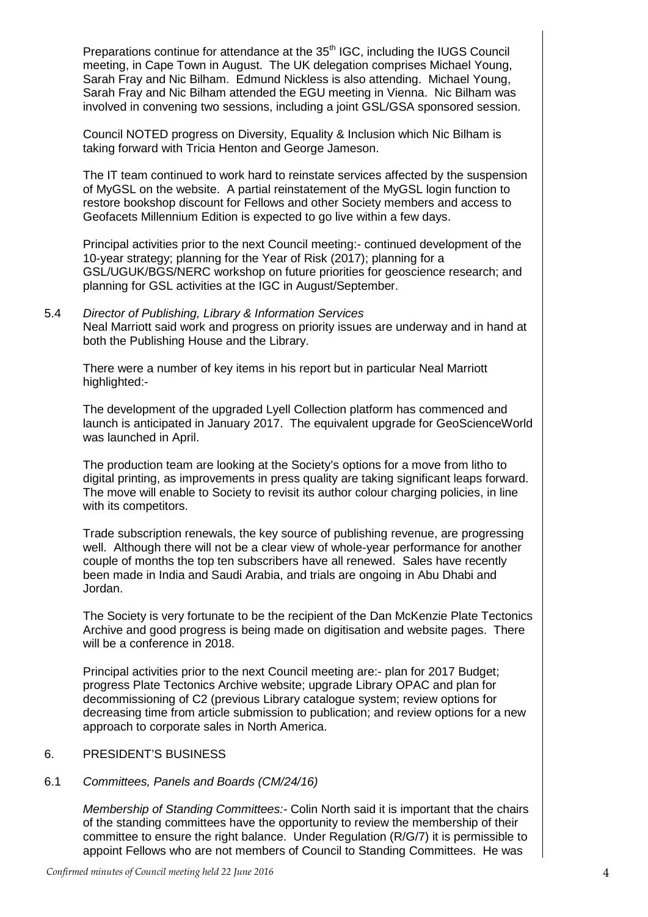Preparations continue for attendance at the 35<sup>th</sup> IGC, including the IUGS Council meeting, in Cape Town in August. The UK delegation comprises Michael Young, Sarah Fray and Nic Bilham. Edmund Nickless is also attending. Michael Young, Sarah Fray and Nic Bilham attended the EGU meeting in Vienna. Nic Bilham was involved in convening two sessions, including a joint GSL/GSA sponsored session.

Council NOTED progress on Diversity, Equality & Inclusion which Nic Bilham is taking forward with Tricia Henton and George Jameson.

The IT team continued to work hard to reinstate services affected by the suspension of MyGSL on the website. A partial reinstatement of the MyGSL login function to restore bookshop discount for Fellows and other Society members and access to Geofacets Millennium Edition is expected to go live within a few days.

Principal activities prior to the next Council meeting:- continued development of the 10-year strategy; planning for the Year of Risk (2017); planning for a GSL/UGUK/BGS/NERC workshop on future priorities for geoscience research; and planning for GSL activities at the IGC in August/September.

5.4 *Director of Publishing, Library & Information Services* Neal Marriott said work and progress on priority issues are underway and in hand at both the Publishing House and the Library.

There were a number of key items in his report but in particular Neal Marriott highlighted:-

The development of the upgraded Lyell Collection platform has commenced and launch is anticipated in January 2017. The equivalent upgrade for GeoScienceWorld was launched in April.

The production team are looking at the Society's options for a move from litho to digital printing, as improvements in press quality are taking significant leaps forward. The move will enable to Society to revisit its author colour charging policies, in line with its competitors.

Trade subscription renewals, the key source of publishing revenue, are progressing well. Although there will not be a clear view of whole-year performance for another couple of months the top ten subscribers have all renewed. Sales have recently been made in India and Saudi Arabia, and trials are ongoing in Abu Dhabi and Jordan.

The Society is very fortunate to be the recipient of the Dan McKenzie Plate Tectonics Archive and good progress is being made on digitisation and website pages. There will be a conference in 2018.

Principal activities prior to the next Council meeting are:- plan for 2017 Budget; progress Plate Tectonics Archive website; upgrade Library OPAC and plan for decommissioning of C2 (previous Library catalogue system; review options for decreasing time from article submission to publication; and review options for a new approach to corporate sales in North America.

#### 6. PRESIDENT'S BUSINESS

### 6.1 *Committees, Panels and Boards (CM/24/16)*

*Membership of Standing Committees:-* Colin North said it is important that the chairs of the standing committees have the opportunity to review the membership of their committee to ensure the right balance. Under Regulation (R/G/7) it is permissible to appoint Fellows who are not members of Council to Standing Committees. He was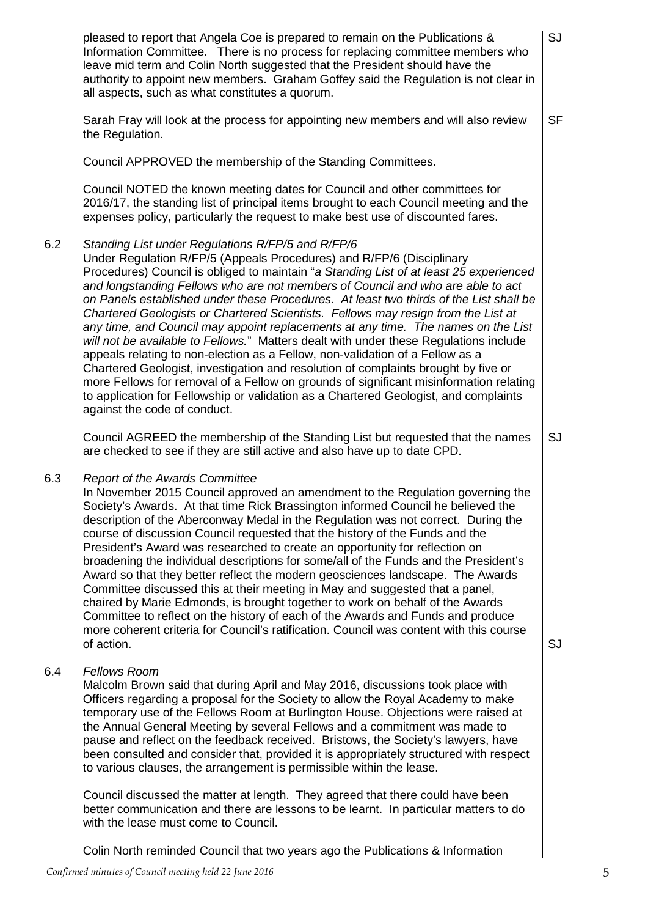|     | pleased to report that Angela Coe is prepared to remain on the Publications &<br>Information Committee. There is no process for replacing committee members who<br>leave mid term and Colin North suggested that the President should have the<br>authority to appoint new members. Graham Goffey said the Regulation is not clear in<br>all aspects, such as what constitutes a quorum.                                                                                                                                                                                                                                                                                                                                                                                                                                                                                                                                                                                                                                                                      | SJ        |
|-----|---------------------------------------------------------------------------------------------------------------------------------------------------------------------------------------------------------------------------------------------------------------------------------------------------------------------------------------------------------------------------------------------------------------------------------------------------------------------------------------------------------------------------------------------------------------------------------------------------------------------------------------------------------------------------------------------------------------------------------------------------------------------------------------------------------------------------------------------------------------------------------------------------------------------------------------------------------------------------------------------------------------------------------------------------------------|-----------|
|     | Sarah Fray will look at the process for appointing new members and will also review<br>the Regulation.                                                                                                                                                                                                                                                                                                                                                                                                                                                                                                                                                                                                                                                                                                                                                                                                                                                                                                                                                        | <b>SF</b> |
|     | Council APPROVED the membership of the Standing Committees.                                                                                                                                                                                                                                                                                                                                                                                                                                                                                                                                                                                                                                                                                                                                                                                                                                                                                                                                                                                                   |           |
|     | Council NOTED the known meeting dates for Council and other committees for<br>2016/17, the standing list of principal items brought to each Council meeting and the<br>expenses policy, particularly the request to make best use of discounted fares.                                                                                                                                                                                                                                                                                                                                                                                                                                                                                                                                                                                                                                                                                                                                                                                                        |           |
| 6.2 | Standing List under Regulations R/FP/5 and R/FP/6<br>Under Regulation R/FP/5 (Appeals Procedures) and R/FP/6 (Disciplinary<br>Procedures) Council is obliged to maintain "a Standing List of at least 25 experienced<br>and longstanding Fellows who are not members of Council and who are able to act<br>on Panels established under these Procedures. At least two thirds of the List shall be<br>Chartered Geologists or Chartered Scientists. Fellows may resign from the List at<br>any time, and Council may appoint replacements at any time. The names on the List<br>will not be available to Fellows." Matters dealt with under these Regulations include<br>appeals relating to non-election as a Fellow, non-validation of a Fellow as a<br>Chartered Geologist, investigation and resolution of complaints brought by five or<br>more Fellows for removal of a Fellow on grounds of significant misinformation relating<br>to application for Fellowship or validation as a Chartered Geologist, and complaints<br>against the code of conduct. |           |
|     | Council AGREED the membership of the Standing List but requested that the names<br>are checked to see if they are still active and also have up to date CPD.                                                                                                                                                                                                                                                                                                                                                                                                                                                                                                                                                                                                                                                                                                                                                                                                                                                                                                  | SJ        |
| 6.3 | <b>Report of the Awards Committee</b><br>In November 2015 Council approved an amendment to the Regulation governing the<br>Society's Awards. At that time Rick Brassington informed Council he believed the<br>description of the Aberconway Medal in the Regulation was not correct. During the<br>course of discussion Council requested that the history of the Funds and the<br>President's Award was researched to create an opportunity for reflection on<br>broadening the individual descriptions for some/all of the Funds and the President's<br>Award so that they better reflect the modern geosciences landscape. The Awards<br>Committee discussed this at their meeting in May and suggested that a panel,<br>chaired by Marie Edmonds, is brought together to work on behalf of the Awards<br>Committee to reflect on the history of each of the Awards and Funds and produce<br>more coherent criteria for Council's ratification. Council was content with this course<br>of action.                                                        | SJ        |
| 6.4 | <b>Fellows Room</b><br>Malcolm Brown said that during April and May 2016, discussions took place with<br>Officers regarding a proposal for the Society to allow the Royal Academy to make<br>temporary use of the Fellows Room at Burlington House. Objections were raised at<br>the Annual General Meeting by several Fellows and a commitment was made to<br>pause and reflect on the feedback received. Bristows, the Society's lawyers, have<br>been consulted and consider that, provided it is appropriately structured with respect<br>to various clauses, the arrangement is permissible within the lease.                                                                                                                                                                                                                                                                                                                                                                                                                                            |           |
|     | Council discussed the matter at length. They agreed that there could have been                                                                                                                                                                                                                                                                                                                                                                                                                                                                                                                                                                                                                                                                                                                                                                                                                                                                                                                                                                                |           |

better communication and there are lessons to be learnt. In particular matters to do with the lease must come to Council.

Colin North reminded Council that two years ago the Publications & Information

6.3

6.4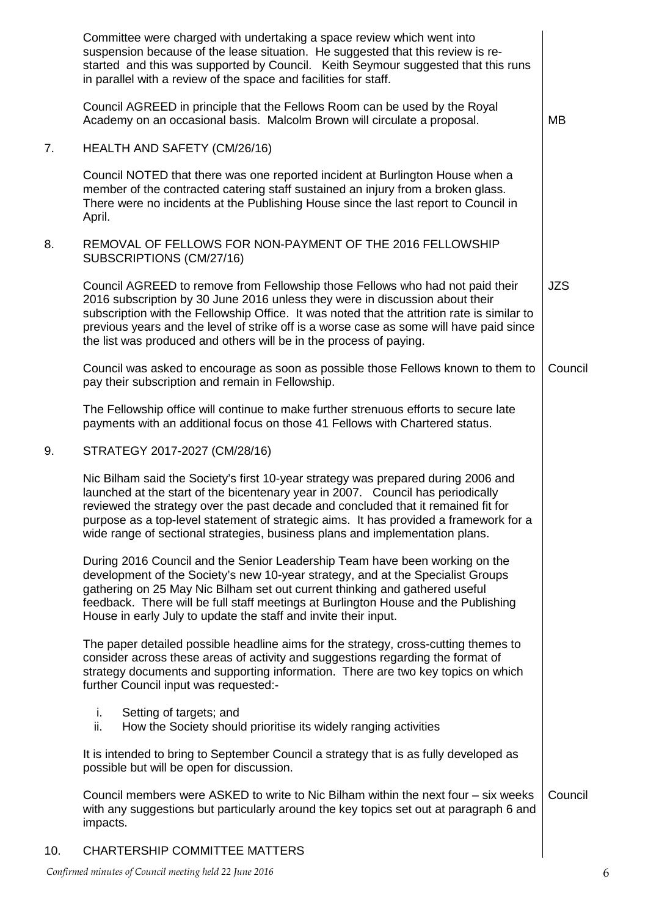|     | Committee were charged with undertaking a space review which went into<br>suspension because of the lease situation. He suggested that this review is re-<br>started and this was supported by Council. Keith Seymour suggested that this runs<br>in parallel with a review of the space and facilities for staff.                                                                                                                 |            |
|-----|------------------------------------------------------------------------------------------------------------------------------------------------------------------------------------------------------------------------------------------------------------------------------------------------------------------------------------------------------------------------------------------------------------------------------------|------------|
|     | Council AGREED in principle that the Fellows Room can be used by the Royal<br>Academy on an occasional basis. Malcolm Brown will circulate a proposal.                                                                                                                                                                                                                                                                             | <b>MB</b>  |
| 7.  | <b>HEALTH AND SAFETY (CM/26/16)</b>                                                                                                                                                                                                                                                                                                                                                                                                |            |
|     | Council NOTED that there was one reported incident at Burlington House when a<br>member of the contracted catering staff sustained an injury from a broken glass.<br>There were no incidents at the Publishing House since the last report to Council in<br>April.                                                                                                                                                                 |            |
| 8.  | REMOVAL OF FELLOWS FOR NON-PAYMENT OF THE 2016 FELLOWSHIP<br>SUBSCRIPTIONS (CM/27/16)                                                                                                                                                                                                                                                                                                                                              |            |
|     | Council AGREED to remove from Fellowship those Fellows who had not paid their<br>2016 subscription by 30 June 2016 unless they were in discussion about their<br>subscription with the Fellowship Office. It was noted that the attrition rate is similar to<br>previous years and the level of strike off is a worse case as some will have paid since<br>the list was produced and others will be in the process of paying.      | <b>JZS</b> |
|     | Council was asked to encourage as soon as possible those Fellows known to them to<br>pay their subscription and remain in Fellowship.                                                                                                                                                                                                                                                                                              | Council    |
|     | The Fellowship office will continue to make further strenuous efforts to secure late<br>payments with an additional focus on those 41 Fellows with Chartered status.                                                                                                                                                                                                                                                               |            |
| 9.  | STRATEGY 2017-2027 (CM/28/16)                                                                                                                                                                                                                                                                                                                                                                                                      |            |
|     | Nic Bilham said the Society's first 10-year strategy was prepared during 2006 and<br>launched at the start of the bicentenary year in 2007. Council has periodically<br>reviewed the strategy over the past decade and concluded that it remained fit for<br>purpose as a top-level statement of strategic aims. It has provided a framework for a<br>wide range of sectional strategies, business plans and implementation plans. |            |
|     | During 2016 Council and the Senior Leadership Team have been working on the<br>development of the Society's new 10-year strategy, and at the Specialist Groups<br>gathering on 25 May Nic Bilham set out current thinking and gathered useful<br>feedback. There will be full staff meetings at Burlington House and the Publishing<br>House in early July to update the staff and invite their input.                             |            |
|     | The paper detailed possible headline aims for the strategy, cross-cutting themes to<br>consider across these areas of activity and suggestions regarding the format of<br>strategy documents and supporting information. There are two key topics on which<br>further Council input was requested:-                                                                                                                                |            |
|     | i.<br>Setting of targets; and<br>ii.<br>How the Society should prioritise its widely ranging activities                                                                                                                                                                                                                                                                                                                            |            |
|     | It is intended to bring to September Council a strategy that is as fully developed as<br>possible but will be open for discussion.                                                                                                                                                                                                                                                                                                 |            |
|     | Council members were ASKED to write to Nic Bilham within the next four – six weeks<br>with any suggestions but particularly around the key topics set out at paragraph 6 and<br>impacts.                                                                                                                                                                                                                                           | Council    |
| 10. | <b>CHARTERSHIP COMMITTEE MATTERS</b>                                                                                                                                                                                                                                                                                                                                                                                               |            |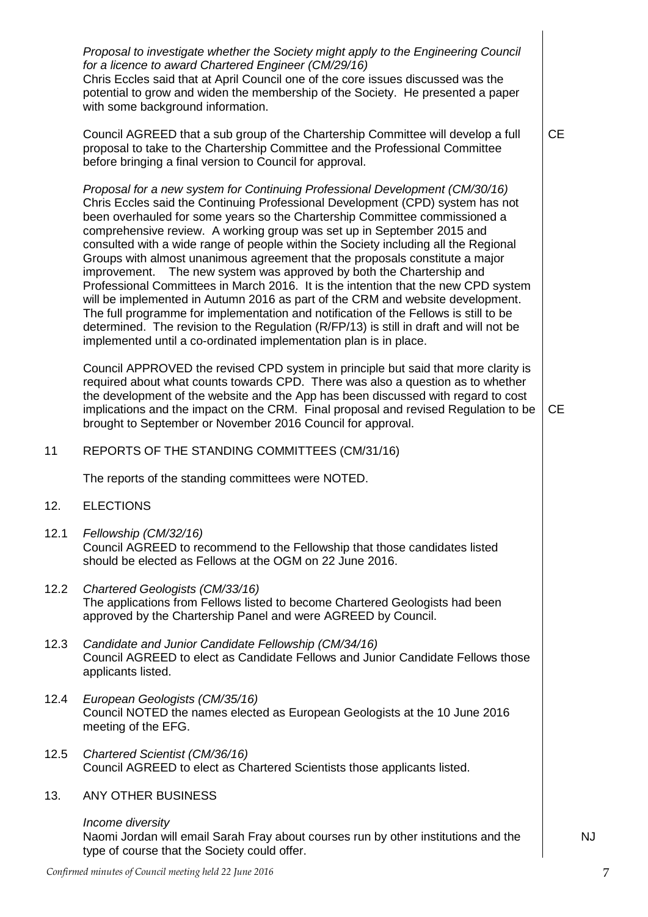|      | Proposal to investigate whether the Society might apply to the Engineering Council<br>for a licence to award Chartered Engineer (CM/29/16)<br>Chris Eccles said that at April Council one of the core issues discussed was the<br>potential to grow and widen the membership of the Society. He presented a paper<br>with some background information.                                                                                                                                                                                                                                                                                                                                                                                                                                                                                                                                                                                                                                               |           |
|------|------------------------------------------------------------------------------------------------------------------------------------------------------------------------------------------------------------------------------------------------------------------------------------------------------------------------------------------------------------------------------------------------------------------------------------------------------------------------------------------------------------------------------------------------------------------------------------------------------------------------------------------------------------------------------------------------------------------------------------------------------------------------------------------------------------------------------------------------------------------------------------------------------------------------------------------------------------------------------------------------------|-----------|
|      | Council AGREED that a sub group of the Chartership Committee will develop a full<br>proposal to take to the Chartership Committee and the Professional Committee<br>before bringing a final version to Council for approval.                                                                                                                                                                                                                                                                                                                                                                                                                                                                                                                                                                                                                                                                                                                                                                         | <b>CE</b> |
|      | Proposal for a new system for Continuing Professional Development (CM/30/16)<br>Chris Eccles said the Continuing Professional Development (CPD) system has not<br>been overhauled for some years so the Chartership Committee commissioned a<br>comprehensive review. A working group was set up in September 2015 and<br>consulted with a wide range of people within the Society including all the Regional<br>Groups with almost unanimous agreement that the proposals constitute a major<br>improvement. The new system was approved by both the Chartership and<br>Professional Committees in March 2016. It is the intention that the new CPD system<br>will be implemented in Autumn 2016 as part of the CRM and website development.<br>The full programme for implementation and notification of the Fellows is still to be<br>determined. The revision to the Regulation (R/FP/13) is still in draft and will not be<br>implemented until a co-ordinated implementation plan is in place. |           |
|      | Council APPROVED the revised CPD system in principle but said that more clarity is<br>required about what counts towards CPD. There was also a question as to whether<br>the development of the website and the App has been discussed with regard to cost<br>implications and the impact on the CRM. Final proposal and revised Regulation to be<br>brought to September or November 2016 Council for approval.                                                                                                                                                                                                                                                                                                                                                                                                                                                                                                                                                                                     | <b>CE</b> |
| 11   | REPORTS OF THE STANDING COMMITTEES (CM/31/16)                                                                                                                                                                                                                                                                                                                                                                                                                                                                                                                                                                                                                                                                                                                                                                                                                                                                                                                                                        |           |
|      | The reports of the standing committees were NOTED.                                                                                                                                                                                                                                                                                                                                                                                                                                                                                                                                                                                                                                                                                                                                                                                                                                                                                                                                                   |           |
| 12.  | <b>ELECTIONS</b>                                                                                                                                                                                                                                                                                                                                                                                                                                                                                                                                                                                                                                                                                                                                                                                                                                                                                                                                                                                     |           |
| 12.1 | Fellowship (CM/32/16)<br>Council AGREED to recommend to the Fellowship that those candidates listed<br>should be elected as Fellows at the OGM on 22 June 2016.                                                                                                                                                                                                                                                                                                                                                                                                                                                                                                                                                                                                                                                                                                                                                                                                                                      |           |
| 12.2 | Chartered Geologists (CM/33/16)<br>The applications from Fellows listed to become Chartered Geologists had been<br>approved by the Chartership Panel and were AGREED by Council.                                                                                                                                                                                                                                                                                                                                                                                                                                                                                                                                                                                                                                                                                                                                                                                                                     |           |
| 12.3 | Candidate and Junior Candidate Fellowship (CM/34/16)<br>Council AGREED to elect as Candidate Fellows and Junior Candidate Fellows those<br>applicants listed.                                                                                                                                                                                                                                                                                                                                                                                                                                                                                                                                                                                                                                                                                                                                                                                                                                        |           |
| 12.4 | European Geologists (CM/35/16)<br>Council NOTED the names elected as European Geologists at the 10 June 2016<br>meeting of the EFG.                                                                                                                                                                                                                                                                                                                                                                                                                                                                                                                                                                                                                                                                                                                                                                                                                                                                  |           |
| 12.5 | Chartered Scientist (CM/36/16)<br>Council AGREED to elect as Chartered Scientists those applicants listed.                                                                                                                                                                                                                                                                                                                                                                                                                                                                                                                                                                                                                                                                                                                                                                                                                                                                                           |           |
| 13.  | <b>ANY OTHER BUSINESS</b>                                                                                                                                                                                                                                                                                                                                                                                                                                                                                                                                                                                                                                                                                                                                                                                                                                                                                                                                                                            |           |
|      | Income diversity<br>Naomi Jordan will email Sarah Fray about courses run by other institutions and the<br>type of course that the Society could offer.                                                                                                                                                                                                                                                                                                                                                                                                                                                                                                                                                                                                                                                                                                                                                                                                                                               |           |

NJ